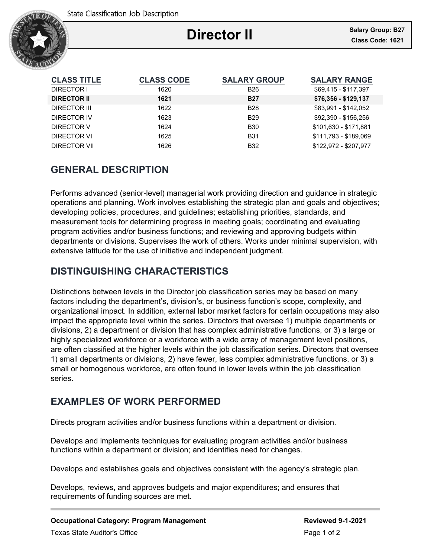

# **Director II**

Ξ

| <b>CLASS TITLE</b> | <b>CLASS CODE</b> | <b>SALARY GROUP</b> | <b>SALARY RANGE</b>   |
|--------------------|-------------------|---------------------|-----------------------|
| DIRECTOR I         | 1620              | <b>B26</b>          | \$69,415 - \$117,397  |
| <b>DIRECTOR II</b> | 1621              | <b>B27</b>          | \$76,356 - \$129,137  |
| DIRECTOR III       | 1622              | <b>B28</b>          | \$83.991 - \$142.052  |
| DIRECTOR IV        | 1623              | <b>B29</b>          | \$92.390 - \$156.256  |
| DIRECTOR V         | 1624              | <b>B30</b>          | \$101.630 - \$171.881 |
| DIRECTOR VI        | 1625              | <b>B31</b>          | \$111.793 - \$189.069 |
| DIRECTOR VII       | 1626              | <b>B32</b>          | \$122.972 - \$207.977 |

# **GENERAL DESCRIPTION**

Performs advanced (senior-level) managerial work providing direction and guidance in strategic operations and planning. Work involves establishing the strategic plan and goals and objectives; developing policies, procedures, and guidelines; establishing priorities, standards, and measurement tools for determining progress in meeting goals; coordinating and evaluating program activities and/or business functions; and reviewing and approving budgets within departments or divisions. Supervises the work of others. Works under minimal supervision, with extensive latitude for the use of initiative and independent judgment.

# **DISTINGUISHING CHARACTERISTICS**

Distinctions between levels in the Director job classification series may be based on many factors including the department's, division's, or business function's scope, complexity, and organizational impact. In addition, external labor market factors for certain occupations may also impact the appropriate level within the series. Directors that oversee 1) multiple departments or divisions, 2) a department or division that has complex administrative functions, or 3) a large or highly specialized workforce or a workforce with a wide array of management level positions, are often classified at the higher levels within the job classification series. Directors that oversee 1) small departments or divisions, 2) have fewer, less complex administrative functions, or 3) a small or homogenous workforce, are often found in lower levels within the job classification series.

# **EXAMPLES OF WORK PERFORMED**

Directs program activities and/or business functions within a department or division.

Develops and implements techniques for evaluating program activities and/or business functions within a department or division; and identifies need for changes.

Develops and establishes goals and objectives consistent with the agency's strategic plan.

Develops, reviews, and approves budgets and major expenditures; and ensures that requirements of funding sources are met.